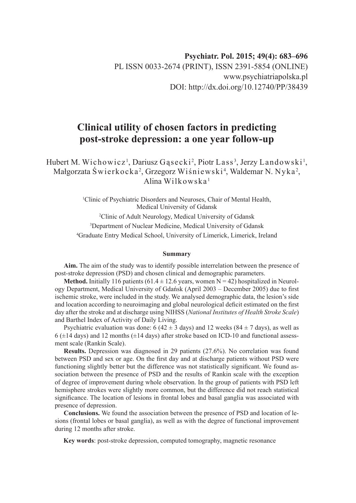# **Clinical utility of chosen factors in predicting post-stroke depression: a one year follow-up**

Hubert M. Wichowicz<sup>1</sup>, Dariusz Gąsecki<sup>2</sup>, Piotr Lass<sup>3</sup>, Jerzy Landowski<sup>1</sup>, Małgorzata Świerkocka<sup>2</sup>, Grzegorz Wiśniewski<sup>4</sup>, Waldemar N. Nyka<sup>2</sup>, Alina Wilkowska<sup>1</sup>

> Clinic of Psychiatric Disorders and Neuroses, Chair of Mental Health, Medical University of Gdansk Clinic of Adult Neurology, Medical University of Gdansk Department of Nuclear Medicine, Medical University of Gdansk Graduate Entry Medical School, University of Limerick, Limerick, Ireland

#### **Summary**

**Aim.** The aim of the study was to identify possible interrelation between the presence of post-stroke depression (PSD) and chosen clinical and demographic parameters.

**Method.** Initially 116 patients (61.4  $\pm$  12.6 years, women N = 42) hospitalized in Neurology Department, Medical University of Gdańsk (April 2003 – December 2005) due to first ischemic stroke, were included in the study. We analysed demographic data, the lesion's side and location according to neuroimaging and global neurological deficit estimated on the first day after the stroke and at discharge using NIHSS (*National Institutes of Health Stroke Scale*) and Barthel Index of Activity of Daily Living.

Psychiatric evaluation was done: 6 (42  $\pm$  3 days) and 12 weeks (84  $\pm$  7 days), as well as  $6$  ( $\pm$ 14 days) and 12 months ( $\pm$ 14 days) after stroke based on ICD-10 and functional assessment scale (Rankin Scale).

**Results.** Depression was diagnosed in 29 patients (27.6%). No correlation was found between PSD and sex or age. On the first day and at discharge patients without PSD were functioning slightly better but the difference was not statistically significant. We found association between the presence of PSD and the results of Rankin scale with the exception of degree of improvement during whole observation. In the group of patients with PSD left hemisphere strokes were slightly more common, but the difference did not reach statistical significance. The location of lesions in frontal lobes and basal ganglia was associated with presence of depression.

**Conclusions.** We found the association between the presence of PSD and location of lesions (frontal lobes or basal ganglia), as well as with the degree of functional improvement during 12 months after stroke.

**Key words**: post-stroke depression, computed tomography, magnetic resonance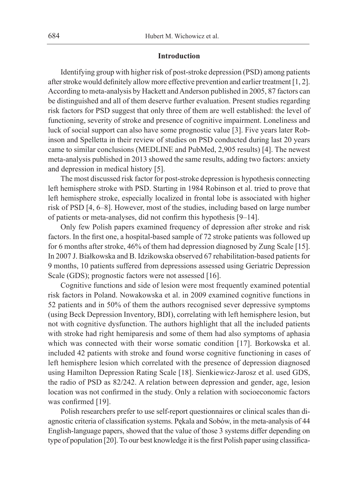#### **Introduction**

Identifying group with higher risk of post-stroke depression (PSD) among patients after stroke would definitely allow more effective prevention and earlier treatment [1, 2]. According to meta-analysis by Hackett and Anderson published in 2005, 87 factors can be distinguished and all of them deserve further evaluation. Present studies regarding risk factors for PSD suggest that only three of them are well established: the level of functioning, severity of stroke and presence of cognitive impairment. Loneliness and luck of social support can also have some prognostic value [3]. Five years later Robinson and Spelletta in their review of studies on PSD conducted during last 20 years came to similar conclusions (MEDLINE and PubMed, 2,905 results) [4]. The newest meta-analysis published in 2013 showed the same results, adding two factors: anxiety and depression in medical history [5].

The most discussed risk factor for post-stroke depression is hypothesis connecting left hemisphere stroke with PSD. Starting in 1984 Robinson et al. tried to prove that left hemisphere stroke, especially localized in frontal lobe is associated with higher risk of PSD [4, 6–8]. However, most of the studies, including based on large number of patients or meta-analyses, did not confirm this hypothesis [9–14].

Only few Polish papers examined frequency of depression after stroke and risk factors. In the first one, a hospital-based sample of 72 stroke patients was followed up for 6 months after stroke, 46% of them had depression diagnosed by Zung Scale [15]. In 2007 J. Białkowska and B. Idzikowska observed 67 rehabilitation-based patients for 9 months, 10 patients suffered from depressions assessed using Geriatric Depression Scale (GDS); prognostic factors were not assessed [16].

Cognitive functions and side of lesion were most frequently examined potential risk factors in Poland. Nowakowska et al. in 2009 examined cognitive functions in 52 patients and in 50% of them the authors recognised sever depressive symptoms (using Beck Depression Inventory, BDI), correlating with left hemisphere lesion, but not with cognitive dysfunction. The authors highlight that all the included patients with stroke had right hemiparesis and some of them had also symptoms of aphasia which was connected with their worse somatic condition [17]. Borkowska et al. included 42 patients with stroke and found worse cognitive functioning in cases of left hemisphere lesion which correlated with the presence of depression diagnosed using Hamilton Depression Rating Scale [18]. Sienkiewicz-Jarosz et al. used GDS, the radio of PSD as 82/242. A relation between depression and gender, age, lesion location was not confirmed in the study. Only a relation with socioeconomic factors was confirmed [19].

Polish researchers prefer to use self-report questionnaires or clinical scales than diagnostic criteria of classification systems. Pękala and Sobów, in the meta-analysis of 44 English-language papers, showed that the value of those 3 systems differ depending on type of population [20]. To our best knowledge it is the first Polish paper using classifica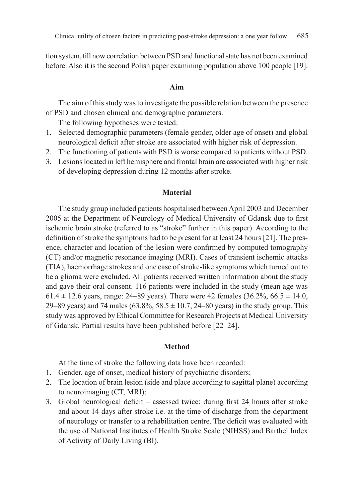tion system, till now correlation between PSD and functional state has not been examined before. Also it is the second Polish paper examining population above 100 people [19].

#### **Aim**

The aim of this study was to investigate the possible relation between the presence of PSD and chosen clinical and demographic parameters.

The following hypotheses were tested:

- 1. Selected demographic parameters (female gender, older age of onset) and global neurological deficit after stroke are associated with higher risk of depression.
- 2. The functioning of patients with PSD is worse compared to patients without PSD.
- 3. Lesions located in left hemisphere and frontal brain are associated with higher risk of developing depression during 12 months after stroke.

#### **Material**

The study group included patients hospitalised between April 2003 and December 2005 at the Department of Neurology of Medical University of Gdansk due to first ischemic brain stroke (referred to as "stroke" further in this paper). According to the definition of stroke the symptoms had to be present for at least 24 hours [21]. The presence, character and location of the lesion were confirmed by computed tomography (CT) and/or magnetic resonance imaging (MRI). Cases of transient ischemic attacks (TIA), haemorrhage strokes and one case of stroke-like symptoms which turned out to be a glioma were excluded. All patients received written information about the study and gave their oral consent. 116 patients were included in the study (mean age was 61.4  $\pm$  12.6 years, range: 24–89 years). There were 42 females (36.2%, 66.5  $\pm$  14.0, 29–89 years) and 74 males (63.8%, 58.5  $\pm$  10.7, 24–80 years) in the study group. This study was approved by Ethical Committee for Research Projects at Medical University of Gdansk. Partial results have been published before [22–24].

### **Method**

At the time of stroke the following data have been recorded:

- 1. Gender, age of onset, medical history of psychiatric disorders;
- 2. The location of brain lesion (side and place according to sagittal plane) according to neuroimaging (CT, MRI);
- 3. Global neurological deficit assessed twice: during first 24 hours after stroke and about 14 days after stroke i.e. at the time of discharge from the department of neurology or transfer to a rehabilitation centre. The deficit was evaluated with the use of National Institutes of Health Stroke Scale (NIHSS) and Barthel Index of Activity of Daily Living (BI).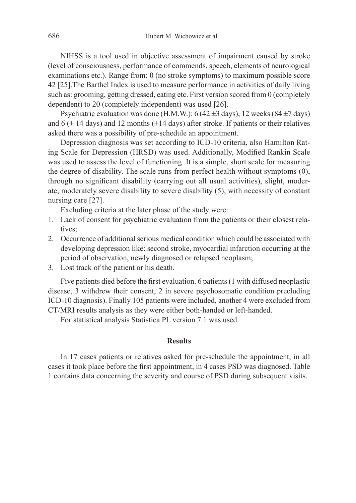NIHSS is a tool used in objective assessment of impairment caused by stroke (level of consciousness, performance of commends, speech, elements of neurological examinations etc.). Range from: 0 (no stroke symptoms) to maximum possible score 42 [25].The Barthel Index is used to measure performance in activities of daily living such as: grooming, getting dressed, eating etc. First version scored from 0 (completely dependent) to 20 (completely independent) was used [26].

Psychiatric evaluation was done (H.M.W.):  $6(42 \pm 3 \text{ days})$ , 12 weeks  $(84 \pm 7 \text{ days})$ and 6 ( $\pm$  14 days) and 12 months ( $\pm$ 14 days) after stroke. If patients or their relatives asked there was a possibility of pre-schedule an appointment.

Depression diagnosis was set according to ICD-10 criteria, also Hamilton Rating Scale for Depression (HRSD) was used. Additionally, Modified Rankin Scale was used to assess the level of functioning. It is a simple, short scale for measuring the degree of disability. The scale runs from perfect health without symptoms (0), through no significant disability (carrying out all usual activities), slight, moderate, moderately severe disability to severe disability (5), with necessity of constant nursing care [27].

Excluding criteria at the later phase of the study were:

- 1. Lack of consent for psychiatric evaluation from the patients or their closest relatives;
- 2. Occurrence of additional serious medical condition which could be associated with developing depression like: second stroke, myocardial infarction occurring at the period of observation, newly diagnosed or relapsed neoplasm;
- 3. Lost track of the patient or his death.

Five patients died before the first evaluation. 6 patients (1 with diffused neoplastic disease, 3 withdrew their consent, 2 in severe psychosomatic condition precluding ICD-10 diagnosis). Finally 105 patients were included, another 4 were excluded from CT/MRI results analysis as they were either both-handed or left-handed.

For statistical analysis Statistica PL version 7.1 was used.

#### **Results**

In 17 cases patients or relatives asked for pre-schedule the appointment, in all cases it took place before the first appointment, in 4 cases PSD was diagnosed. Table 1 contains data concerning the severity and course of PSD during subsequent visits.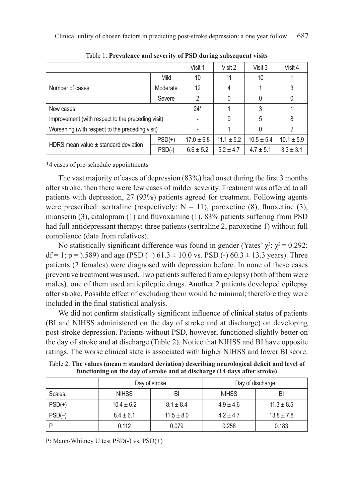|                                                   |          | Visit 1        | Visit 2        | Visit 3        | Visit 4        |
|---------------------------------------------------|----------|----------------|----------------|----------------|----------------|
|                                                   | Mild     | 10             | 11             | 10             |                |
| Number of cases                                   | Moderate | 12             | 4              |                |                |
|                                                   | Severe   | 2              |                |                |                |
| New cases                                         |          | $24*$          |                |                |                |
| Improvement (with respect to the preceding visit) |          |                | 9              | 5              | 8              |
| Worsening (with respect to the preceding visit)   |          |                |                |                |                |
|                                                   | $PSD(+)$ | $17.0 \pm 6.8$ | $11.1 \pm 5.2$ | $10.5 \pm 5.4$ | $10.1 \pm 5.9$ |
| HDRS mean value $\pm$ standard deviation          | $PSD(-)$ | $6.6 \pm 5.2$  | $5.2 \pm 4.7$  | $4.7 \pm 5.1$  | $3.3 \pm 3.1$  |

Table 1. **Prevalence and severity of PSD during subsequent visits**

\*4 cases of pre-schedule appointments

The vast majority of cases of depression (83%) had onset during the first 3 months after stroke, then there were few cases of milder severity. Treatment was offered to all patients with depression, 27 (93%) patients agreed for treatment. Following agents were prescribed: sertraline (respectively:  $N = 11$ ), paroxetine (8), fluoxetine (3), mianserin (3), citalopram (1) and fluvoxamine (1). 83% patients suffering from PSD had full antidepressant therapy; three patients (sertraline 2, paroxetine 1) without full compliance (data from relatives).

No statistically significant difference was found in gender (Yates'  $\chi^2$ :  $\chi^2$  = 0.292;  $df = 1$ ;  $p = 0.589$  and age (PSD (+) 61.3  $\pm$  10.0 vs. PSD (-) 60.3  $\pm$  13.3 years). Three patients (2 females) were diagnosed with depression before. In none of these cases preventive treatment was used. Two patients suffered from epilepsy (both of them were males), one of them used antiepileptic drugs. Another 2 patients developed epilepsy after stroke. Possible effect of excluding them would be minimal; therefore they were included in the final statistical analysis.

We did not confirm statistically significant influence of clinical status of patients (BI and NIHSS administered on the day of stroke and at discharge) on developing post-stroke depression. Patients without PSD, however, functioned slightly better on the day of stroke and at discharge (Table 2). Notice that NIHSS and BI have opposite ratings. The worse clinical state is associated with higher NIHSS and lower BI score.

|          | Day of stroke  |                | Day of discharge |                |  |
|----------|----------------|----------------|------------------|----------------|--|
| Scales:  | <b>NIHSS</b>   | BI             | <b>NIHSS</b>     | BI             |  |
| $PSD(+)$ | $10.4 \pm 6.2$ | $8.1 \pm 8.4$  | $4.9 \pm 4.6$    | $11.3 \pm 8.5$ |  |
| $PSD(-)$ | $8.4 \pm 6.1$  | $11.5 \pm 8.0$ | $4.2 \pm 4.7$    | $13.8 \pm 7.8$ |  |
| D        | 0.112          | 0.079          | 0.258            | 0.183          |  |

Table 2. **The values (mean ± standard deviation) describing neurological deficit and level of functioning on the day of stroke and at discharge (14 days after stroke)**

P: Mann-Whitney U test PSD(-) vs. PSD(+)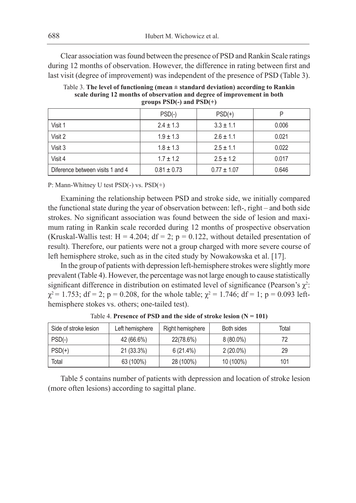Clear association was found between the presence of PSD and Rankin Scale ratings during 12 months of observation. However, the difference in rating between first and last visit (degree of improvement) was independent of the presence of PSD (Table 3).

Table 3. **The level of functioning (mean ± standard deviation) according to Rankin scale during 12 months of observation and degree of improvement in both groups PSD(-) and PSD(+)**

|                                  | $PSD(-)$        | $PSD(+)$        | D     |
|----------------------------------|-----------------|-----------------|-------|
| Visit 1                          | $2.4 \pm 1.3$   | $3.3 \pm 1.1$   | 0.006 |
| Visit 2                          | $1.9 \pm 1.3$   | $2.6 \pm 1.1$   | 0.021 |
| Visit 3                          | $1.8 \pm 1.3$   | $2.5 \pm 1.1$   | 0.022 |
| Visit 4                          | $1.7 \pm 1.2$   | $2.5 \pm 1.2$   | 0.017 |
| Diference between visits 1 and 4 | $0.81 \pm 0.73$ | $0.77 \pm 1.07$ | 0.646 |

P: Mann-Whitney U test PSD(-) vs. PSD(+)

Examining the relationship between PSD and stroke side, we initially compared the functional state during the year of observation between: left-, right – and both side strokes. No significant association was found between the side of lesion and maximum rating in Rankin scale recorded during 12 months of prospective observation (Kruskal-Wallis test:  $H = 4.204$ ;  $df = 2$ ;  $p = 0.122$ , without detailed presentation of result). Therefore, our patients were not a group charged with more severe course of left hemisphere stroke, such as in the cited study by Nowakowska et al. [17].

In the group of patients with depression left-hemisphere strokes were slightly more prevalent (Table 4). However, the percentage was not large enough to cause statistically significant difference in distribution on estimated level of significance (Pearson's  $\chi^2$ :  $\chi^2$  = 1.753; df = 2; p = 0.208, for the whole table;  $\chi^2$  = 1.746; df = 1; p = 0.093 lefthemisphere stokes vs. others; one-tailed test).

| Side of stroke lesion | Left hemisphere | Right hemisphere | Both sides  | Total |
|-----------------------|-----------------|------------------|-------------|-------|
| $PSD(-)$              | 42 (66.6%)      | 22(78.6%)        | $8(80.0\%)$ | 72    |
| $PSD(+)$              | 21 (33.3%)      | 6(21.4%)         | $2(20.0\%)$ | 29    |
| Total                 | 63 (100%)       | 28 (100%)        | 10 (100%)   | 101   |

Table 4. Presence of PSD and the side of stroke lesion  $(N = 101)$ 

Table 5 contains number of patients with depression and location of stroke lesion (more often lesions) according to sagittal plane.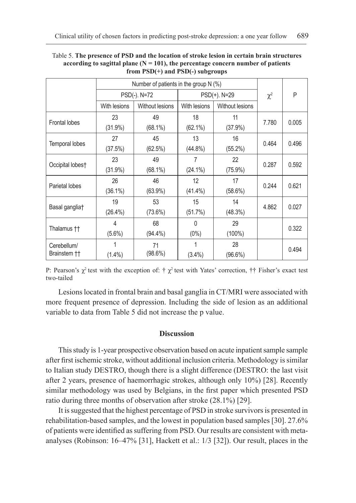|                             | Number of patients in the group $N$ (%) |                        |              |                 |          |       |
|-----------------------------|-----------------------------------------|------------------------|--------------|-----------------|----------|-------|
|                             | PSD(-). N=72                            |                        | PSD(+). N=29 |                 | $\chi^2$ | P     |
|                             | With lesions                            | <b>Without lesions</b> | With lesions | Without lesions |          |       |
| <b>Frontal lobes</b>        | 23                                      | 49                     | 18           | 11              | 7.780    | 0.005 |
|                             | $(31.9\%)$                              | $(68.1\%)$             | $(62.1\%)$   | $(37.9\%)$      |          |       |
|                             | 27                                      | 45                     | 13           | 16              | 0.464    | 0.496 |
| Temporal lobes              | (37.5%)                                 | (62.5%)                | $(44.8\%)$   | $(55.2\%)$      |          |       |
| Occipital lobes†            | 23                                      | 49                     | 7            | 22              | 0.287    | 0.592 |
|                             | $(31.9\%)$                              | $(68.1\%)$             | $(24.1\%)$   | $(75.9\%)$      |          |       |
| Parietal lobes              | 26                                      | 46                     | 12           | 17              | 0.244    | 0.621 |
|                             | $(36.1\%)$                              | $(63.9\%)$             | $(41.4\%)$   | $(58.6\%)$      |          |       |
| Basal ganglia <sup>+</sup>  | 19                                      | 53                     | 15           | 14              | 4.862    | 0.027 |
|                             | $(26.4\%)$                              | $(73.6\%)$             | (51.7%)      | (48.3%)         |          |       |
| Thalamus ††                 | 4                                       | 68                     | $\Omega$     | 29              |          | 0.322 |
|                             | $(5.6\%)$                               | (94.4%)                | $(0\%)$      | $(100\%)$       |          |       |
| Cerebellum/<br>Brainstem †† |                                         | 71                     |              | 28              |          | 0.494 |
|                             | $(1.4\%)$                               | $(98.6\%)$             | $(3.4\%)$    | $(96.6\%)$      |          |       |

#### Table 5. **The presence of PSD and the location of stroke lesion in certain brain structures**  according to sagittal plane  $(N = 101)$ , the percentage concern number of patients **from PSD(+) and PSD(-) subgroups**

P: Pearson's  $\chi^2$  test with the exception of: †  $\chi^2$  test with Yates' correction, †† Fisher's exact test two-tailed

Lesions located in frontal brain and basal ganglia in CT/MRI were associated with more frequent presence of depression. Including the side of lesion as an additional variable to data from Table 5 did not increase the p value.

#### **Discussion**

This study is 1-year prospective observation based on acute inpatient sample sample after first ischemic stroke, without additional inclusion criteria. Methodology is similar to Italian study DESTRO, though there is a slight difference (DESTRO: the last visit after 2 years, presence of haemorrhagic strokes, although only 10%) [28]. Recently similar methodology was used by Belgians, in the first paper which presented PSD ratio during three months of observation after stroke (28.1%) [29].

It is suggested that the highest percentage of PSD in stroke survivors is presented in rehabilitation-based samples, and the lowest in population based samples [30]. 27.6% of patients were identified as suffering from PSD. Our results are consistent with metaanalyses (Robinson: 16–47% [31], Hackett et al.: 1/3 [32]). Our result, places in the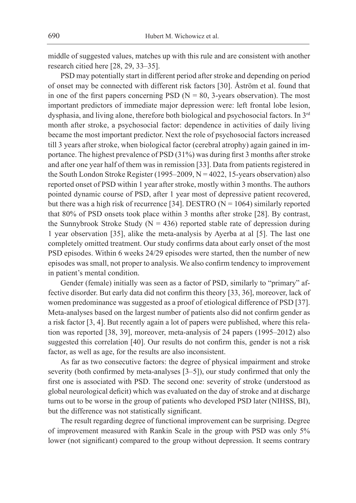middle of suggested values, matches up with this rule and are consistent with another research citied here [28, 29, 33–35].

PSD may potentially start in different period after stroke and depending on period of onset may be connected with different risk factors [30]. Åström et al. found that in one of the first papers concerning PSD ( $N = 80$ , 3-years observation). The most important predictors of immediate major depression were: left frontal lobe lesion, dysphasia, and living alone, therefore both biological and psychosocial factors. In 3<sup>rd</sup> month after stroke, a psychosocial factor: dependence in activities of daily living became the most important predictor. Next the role of psychosocial factors increased till 3 years after stroke, when biological factor (cerebral atrophy) again gained in importance. The highest prevalence of PSD (31%) was during first 3 months after stroke and after one year half of them was in remission [33]. Data from patients registered in the South London Stroke Register (1995–2009, N = 4022, 15-years observation) also reported onset of PSD within 1 year after stroke, mostly within 3 months. The authors pointed dynamic course of PSD, after 1 year most of depressive patient recovered, but there was a high risk of recurrence [34]. DESTRO ( $N = 1064$ ) similarly reported that 80% of PSD onsets took place within 3 months after stroke [28]. By contrast, the Sunnybrook Stroke Study ( $N = 436$ ) reported stable rate of depression during 1 year observation [35], alike the meta-analysis by Ayerba at al [5]. The last one completely omitted treatment. Our study confirms data about early onset of the most PSD episodes. Within 6 weeks 24/29 episodes were started, then the number of new episodes was small, not proper to analysis. We also confirm tendency to improvement in patient's mental condition.

Gender (female) initially was seen as a factor of PSD, similarly to "primary" affective disorder. But early data did not confirm this theory [33, 36], moreover, lack of women predominance was suggested as a proof of etiological difference of PSD [37]. Meta-analyses based on the largest number of patients also did not confirm gender as a risk factor [3, 4]. But recently again a lot of papers were published, where this relation was reported [38, 39], moreover, meta-analysis of 24 papers (1995–2012) also suggested this correlation [40]. Our results do not confirm this, gender is not a risk factor, as well as age, for the results are also inconsistent.

As far as two consecutive factors: the degree of physical impairment and stroke severity (both confirmed by meta-analyses [3–5]), our study confirmed that only the first one is associated with PSD. The second one: severity of stroke (understood as global neurological deficit) which was evaluated on the day of stroke and at discharge turns out to be worse in the group of patients who developed PSD later (NIHSS, BI), but the difference was not statistically significant.

The result regarding degree of functional improvement can be surprising. Degree of improvement measured with Rankin Scale in the group with PSD was only 5% lower (not significant) compared to the group without depression. It seems contrary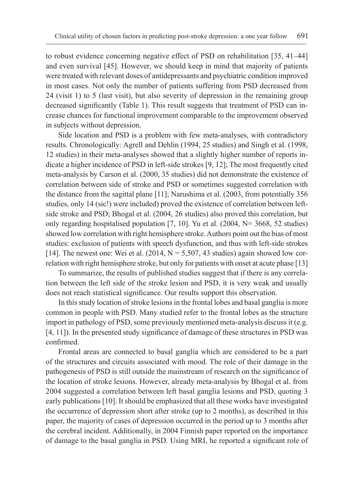to robust evidence concerning negative effect of PSD on rehabilitation [35, 41–44] and even survival [45]. However, we should keep in mind that majority of patients were treated with relevant doses of antidepressants and psychiatric condition improved in most cases. Not only the number of patients suffering from PSD decreased from 24 (visit 1) to 5 (last visit), but also severity of depression in the remaining group decreased significantly (Table 1). This result suggests that treatment of PSD can increase chances for functional improvement comparable to the improvement observed in subjects without depression.

Side location and PSD is a problem with few meta-analyses, with contradictory results. Chronologically: Agrell and Dehlin (1994, 25 studies) and Singh et al. (1998, 12 studies) in their meta-analyses showed that a slightly higher number of reports indicate a higher incidence of PSD in left-side strokes [9, 12]; The most frequently cited meta-analysis by Carson et al. (2000, 35 studies) did not demonstrate the existence of correlation between side of stroke and PSD or sometimes suggested correlation with the distance from the sagittal plane [11]; Narushima et al. (2003, from potentially 356 studies, only 14 (sic!) were included) proved the existence of correlation between leftside stroke and PSD; Bhogal et al. (2004, 26 studies) also proved this correlation, but only regarding hospitalised population [7, 10]. Yu et al. (2004,  $N=$  3668, 52 studies) showed low correlation with right hemisphere stroke. Authors point out the bias of most studies: exclusion of patients with speech dysfunction, and thus with left-side strokes [14]. The newest one: Wei et al.  $(2014, N = 5,507, 43$  studies) again showed low correlation with right hemisphere stroke, but only for patients with onset at acute phase [13]

To summarize, the results of published studies suggest that if there is any correlation between the left side of the stroke lesion and PSD, it is very weak and usually does not reach statistical significance. Our results support this observation.

In this study location of stroke lesions in the frontal lobes and basal ganglia is more common in people with PSD. Many studied refer to the frontal lobes as the structure import in pathology of PSD, some previously mentioned meta-analysis discuss it (e.g. [4, 11]). In the presented study significance of damage of these structures in PSD was confirmed.

Frontal areas are connected to basal ganglia which are considered to be a part of the structures and circuits associated with mood. The role of their damage in the pathogenesis of PSD is still outside the mainstream of research on the significance of the location of stroke lesions. However, already meta-analysis by Bhogal et al. from 2004 suggested a correlation between left basal ganglia lesions and PSD, quoting 3 early publications [10]. It should be emphasized that all these works have investigated the occurrence of depression short after stroke (up to 2 months), as described in this paper, the majority of cases of depression occurred in the period up to 3 months after the cerebral incident. Additionally, in 2004 Finnish paper reported on the importance of damage to the basal ganglia in PSD. Using MRI, he reported a significant role of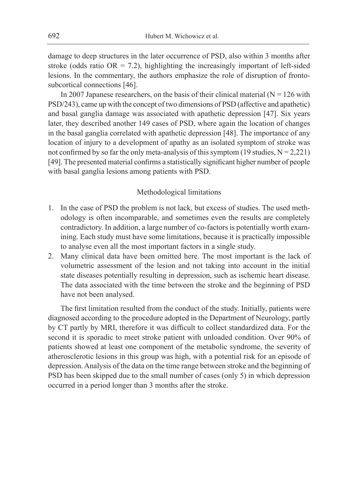damage to deep structures in the later occurrence of PSD, also within 3 months after stroke (odds ratio  $OR = 7.2$ ), highlighting the increasingly important of left-sided lesions. In the commentary, the authors emphasize the role of disruption of frontosubcortical connections [46].

In 2007 Japanese researchers, on the basis of their clinical material ( $N = 126$  with PSD/243), came up with the concept of two dimensions of PSD (affective and apathetic) and basal ganglia damage was associated with apathetic depression [47]. Six years later, they described another 149 cases of PSD, where again the location of changes in the basal ganglia correlated with apathetic depression [48]. The importance of any location of injury to a development of apathy as an isolated symptom of stroke was not confirmed by so far the only meta-analysis of this symptom (19 studies,  $N = 2,221$ ) [49]. The presented material confirms a statistically significant higher number of people with basal ganglia lesions among patients with PSD.

#### Methodological limitations

- 1. In the case of PSD the problem is not lack, but excess of studies. The used methodology is often incomparable, and sometimes even the results are completely contradictory. In addition, a large number of co-factors is potentially worth examining. Each study must have some limitations, because it is practically impossible to analyse even all the most important factors in a single study.
- 2. Many clinical data have been omitted here. The most important is the lack of volumetric assessment of the lesion and not taking into account in the initial state diseases potentially resulting in depression, such as ischemic heart disease. The data associated with the time between the stroke and the beginning of PSD have not been analysed.

The first limitation resulted from the conduct of the study. Initially, patients were diagnosed according to the procedure adopted in the Department of Neurology, partly by CT partly by MRI, therefore it was difficult to collect standardized data. For the second it is sporadic to meet stroke patient with unloaded condition. Over 90% of patients showed at least one component of the metabolic syndrome, the severity of atherosclerotic lesions in this group was high, with a potential risk for an episode of depression. Analysis of the data on the time range between stroke and the beginning of PSD has been skipped due to the small number of cases (only 5) in which depression occurred in a period longer than 3 months after the stroke.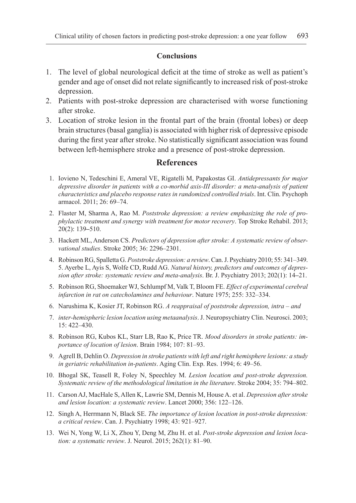### **Conclusions**

- 1. The level of global neurological deficit at the time of stroke as well as patient's gender and age of onset did not relate significantly to increased risk of post-stroke depression.
- 2. Patients with post-stroke depression are characterised with worse functioning after stroke.
- 3. Location of stroke lesion in the frontal part of the brain (frontal lobes) or deep brain structures (basal ganglia) is associated with higher risk of depressive episode during the first year after stroke. No statistically significant association was found between left-hemisphere stroke and a presence of post-stroke depression.

## **References**

- 1. Iovieno N, Tedeschini E, Ameral VE, Rigatelli M, Papakostas GI. *Antidepressants for major depressive disorder in patients with a co-morbid axis-III disorder: a meta-analysis of patient characteristics and placebo response rates in randomized controlled trials*. Int. Clin. Psychoph armacol. 2011; 26: 69–74.
- 2. Flaster M, Sharma A, Rao M. *Poststroke depression: a review emphasizing the role of prophylactic treatment and synergy with treatment for motor recovery*. Top Stroke Rehabil. 2013; 20(2): 139**–**510.
- 3. Hackett ML, Anderson CS. *Predictors of depression after stroke: A systematic review of observational studies*. Stroke 2005; 36: 2296–2301.
- 4. Robinson RG, Spalletta G. *Poststroke depression: a review*. Can. J. Psychiatry 2010; 55: 341–349. 5. Ayerbe L, Ayis S, Wolfe CD, Rudd AG. *Natural history, predictors and outcomes of depression after stroke: systematic review and meta-analysis*. Br. J. Psychiatry 2013; 202(1): 14**–**21.
- 5. Robinson RG, Shoemaker WJ, Schlumpf M, Valk T, Bloom FE. *Effect of experimental cerebral infarction in rat on catecholamines and behaviour*. Nature 1975; 255: 332–334.
- 6. Narushima K, Kosier JT, Robinson RG. *A reappraisal of poststroke depression, intra and*
- 7. *inter-hemispheric lesion location using metaanalysis*. J. Neuropsychiatry Clin. Neurosci. 2003; 15: 422–430.
- 8. Robinson RG, Kubos KL, Starr LB, Rao K, Price TR. *Mood disorders in stroke patients: importance of location of lesion*. Brain 1984; 107: 81–93.
- 9. Agrell B, Dehlin O. *Depression in stroke patients with left and right hemisphere lesions: a study in geriatric rehabilitation in-patients*. Aging Clin. Exp. Res. 1994; 6: 49–56.
- 10. Bhogal SK, Teasell R, Foley N, Speechley M. *Lesion location and post-stroke depression. Systematic review of the methodological limitation in the literature*. Stroke 2004; 35: 794–802.
- 11. Carson AJ, MacHale S, Allen K, Lawrie SM, Dennis M, House A. et al. *Depression after stroke and lesion location: a systematic review*. Lancet 2000; 356: 122–126.
- 12. Singh A, Herrmann N, Black SE. *The importance of lesion location in post-stroke depression: a critical review*. Can. J. Psychiatry 1998; 43: 921–927.
- 13. Wei N, Yong W, Li X, Zhou Y, Deng M, Zhu H. et al. *Post-stroke depression and lesion location: a systematic review*. J. Neurol. 2015; 262(1): 81–90.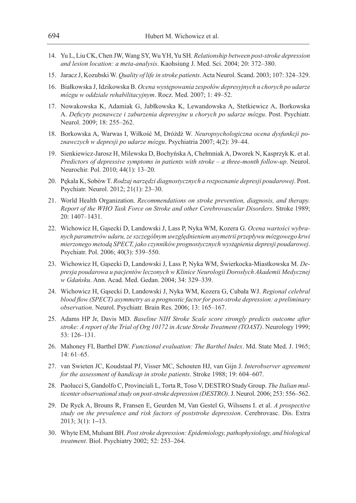- 14. Yu L, Liu CK, Chen JW, Wang SY, Wu YH, Yu SH. *Relationship between post-stroke depression and lesion location: a meta-analysis*. Kaohsiung J. Med. Sci. 2004; 20: 372–380.
- 15. Jaracz J, Kozubski W. *Quality of life in stroke patients*. Acta Neurol. Scand. 2003; 107: 324–329.
- 16. Białkowska J, Idzikowska B. *Ocena występowania zespołów depresyjnych u chorych po udarze mózgu w oddziale rehabilitacyjnym*. Rocz. Med. 2007; 1: 49–52.
- 17. Nowakowska K, Adamiak G, Jabłkowska K, Lewandowska A, Stetkiewicz A, Borkowska A. *Deficyty poznawcze i zaburzenia depresyjne u chorych po udarze mózgu*. Post. Psychiatr. Neurol. 2009; 18: 255–262.
- 18. Borkowska A, Warwas I, Wiłkość M, Dróżdż W. *Neuropsychologiczna ocena dysfunkcji poznawczych w depresji po udarze mózgu*. Psychiatria 2007; 4(2): 39–44.
- 19. Sienkiewicz-Jarosz H, Milewska D, Bochyńska A, Chełmniak A, Dworek N, Kasprzyk K. et al. *Predictors of depressive symptoms in patients with stroke – a three-month follow-up*. Neurol. Neurochir. Pol. 2010; 44(1): 13–20.
- 20. Pękala K, Sobów T. *Rodzaj narzędzi diagnostycznych a rozpoznanie depresji poudarowej*. Post. Psychiatr. Neurol. 2012; 21(1): 23–30.
- 21. World Health Organization. *Recommendations on stroke prevention, diagnosis, and therapy. Report of the WHO Task Force on Stroke and other Cerebrovascular Disorders*. Stroke 1989; 20: 1407–1431.
- 22. Wichowicz H, Gąsecki D, Landowski J, Lass P, Nyka WM, Kozera G. *Ocena wartości wybranych parametrów udaru, ze szczególnym uwzględnieniem asymetrii przepływu mózgowego krwi mierzonego metodą SPECT, jako czynników prognostycznych wystąpienia depresji poudarowej*. Psychiatr. Pol. 2006; 40(3): 539–550.
- 23. Wichowicz H, Gąsecki D, Landowski J, Lass P, Nyka WM, Świerkocka-Miastkowska M. *Depresja poudarowa u pacjentów leczonych w Klinice Neurologii Dorosłych Akademii Medycznej w Gdańsku*. Ann. Acad. Med. Gedan. 2004; 34: 329–339.
- 24. Wichowicz H, Gąsecki D, Landowski J, Nyka WM, Kozera G, Cubała WJ. *Regional celebral blood flow (SPECT) asymmetry as a prognostic factor for post-stroke depression: a preliminary observation*. Neurol. Psychiatr. Brain Res. 2006; 13: 165–167.
- 25. Adams HP Jr, Davis MD. *Baseline NIH Stroke Scale score strongly predicts outcome after stroke: A report of the Trial of Org 10172 in Acute Stroke Treatment (TOAST)*. Neurology 1999; 53: 126–131.
- 26. Mahoney FI, Barthel DW. *Functional evaluation: The Barthel Index*. Md. State Med. J. 1965; 14: 61–65.
- 27. van Swieten JC, Koudstaal PJ, Visser MC, Schouten HJ, van Gijn J. *Interobserver agreement for the assessment of handicap in stroke patients*. Stroke 1988; 19: 604–607.
- 28. Paolucci S, Gandolfo C, Provinciali L, Torta R, Toso V, DESTRO Study Group. *The Italian multicenter observational study on post-stroke depression (DESTRO)*. J. Neurol. 2006; 253: 556–562.
- 29. De Ryck A, Brouns R, Fransen E, Geurden M, Van Gestel G, Wilssens I. et al. *A prospective study on the prevalence and risk factors of poststroke depression*. Cerebrovasc. Dis. Extra 2013; 3(1): 1**–**13.
- 30. Whyte EM, Mulsant BH. *Post stroke depression: Epidemiology, pathophysiology, and biological treatment*. Biol. Psychiatry 2002; 52: 253–264.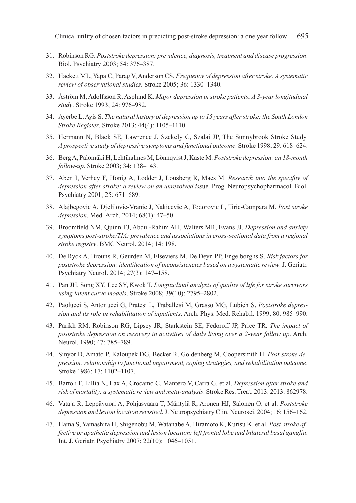- 31. Robinson RG. *Poststroke depression: prevalence, diagnosis, treatment and disease progression*. Biol. Psychiatry 2003; 54: 376–387.
- 32. Hackett ML, Yapa C, Parag V, Anderson CS. *Frequency of depression after stroke: A systematic review of observational studies*. Stroke 2005; 36: 1330–1340.
- 33. Åström M, Adolfsson R, Asplund K. *Major depression in stroke patients. A 3-year longitudinal study*. Stroke 1993; 24: 976–982.
- 34. Ayerbe L, Ayis S. *The natural history of depression up to 15 years after stroke: the South London Stroke Register*. Stroke 2013; 44(4): 1105**–**1110.
- 35. Hermann N, Black SE, Lawrence J, Szekely C, Szalai JP, The Sunnybrook Stroke Study. *A prospective study of depressive symptoms and functional outcome*. Stroke 1998; 29: 618–624.
- 36. Berg A, Palomäki H, Lehtihalmes M, Lönnqvist J, Kaste M. *Poststroke depression: an 18-month follow-up*. Stroke 2003; 34: 138–143.
- 37. Aben I, Verhey F, Honig A, Lodder J, Lousberg R, Maes M. *Research into the specifity of depression after stroke: a review on an unresolved iss*ue. Prog. Neuropsychopharmacol. Biol. Psychiatry 2001; 25: 671–689.
- 38. Alajbegovic A, Djelilovic-Vranic J, Nakicevic A, Todorovic L, Tiric-Campara M. *Post stroke depression*. Med. Arch. 2014; 68(1): 47**–**50.
- 39. Broomfield NM, Quinn TJ, Abdul-Rahim AH, Walters MR, Evans JJ. *Depression and anxiety symptoms post-stroke/TIA: prevalence and associations in cross-sectional data from a regional stroke registry*. BMC Neurol. 2014; 14: 198.
- 40. De Ryck A, Brouns R, Geurden M, Elseviers M, De Deyn PP, Engelborghs S. *Risk factors for poststroke depression: identification of inconsistencies based on a systematic review*. J. Geriatr. Psychiatry Neurol. 2014; 27(3): 147**–**158.
- 41. Pan JH, Song XY, Lee SY, Kwok T. *Longitudinal analysis of quality of life for stroke survivors using latent curve models*. Stroke 2008; 39(10): 2795–2802.
- 42. Paolucci S, Antonucci G, Pratesi L, Traballesi M, Grasso MG, Lubich S. *Poststroke depression and its role in rehabilitation of inpatients*. Arch. Phys. Med. Rehabil. 1999; 80: 985–990.
- 43. Parikh RM, Robinson RG, Lipsey JR, Starkstein SE, Fedoroff JP, Price TR. *The impact of poststroke depression on recovery in activities of daily living over a 2-year follow up*. Arch. Neurol. 1990; 47: 785–789.
- 44. Sinyor D, Amato P, Kaloupek DG, Becker R, Goldenberg M, Coopersmith H. *Post-stroke depression: relationship to functional impairment, coping strategies, and rehabilitation outcome*. Stroke 1986; 17: 1102–1107.
- 45. Bartoli F, Lillia N, Lax A, Crocamo C, Mantero V, Carrà G. et al. *Depression after stroke and risk of mortality: a systematic review and meta-analysis*. Stroke Res. Treat. 2013: 2013: 862978.
- 46. Vataja R, Leppävuori A, Pohjasvaara T, Mäntylä R, Aronen HJ, Salonen O. et al. *Poststroke depression and lesion location revisited*. J. Neuropsychiatry Clin. Neurosci. 2004; 16: 156–162.
- 47. Hama S, Yamashita H, Shigenobu M, Watanabe A, Hiramoto K, Kurisu K. et al. *Post-stroke affective or apathetic depression and lesion location: left frontal lobe and bilateral basal ganglia*. Int. J. Geriatr. Psychiatry 2007; 22(10): 1046–1051.